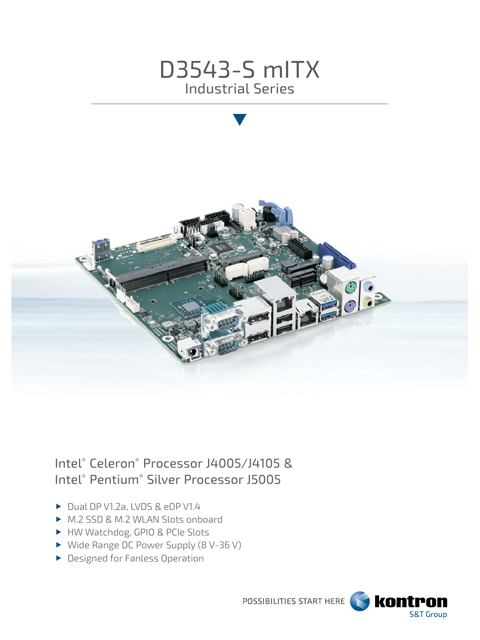



# Intel® Celeron® Processor J4005/J4105 & Intel® Pentium® Silver Processor J5005

- Dual DP V1.2a, LVDS & eDP V1.4
- ▶ M.2 SSD & M.2 WLAN Slots onboard
- ▶ HW Watchdog, GPIO & PCIe Slots
- ▶ Wide Range DC Power Supply (8 V-36 V)
- **Designed for Fanless Operation**

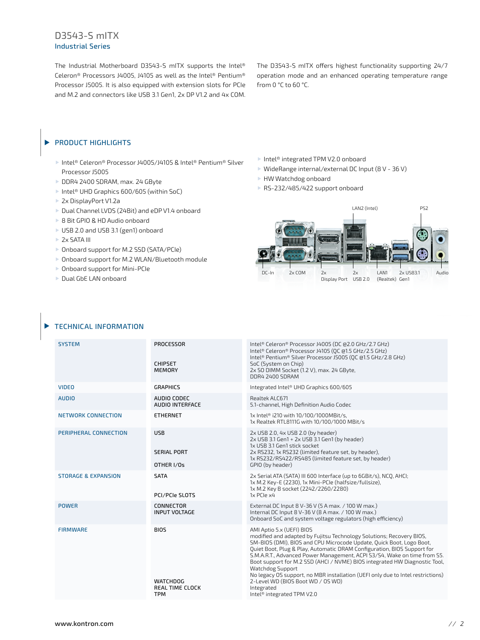## D3543-S mITX Industrial Series

The Industrial Motherboard D3543-S mITX supports the Intel® Celeron® Processors J4005, J4105 as well as the Intel® Pentium® Processor J5005. It is also equipped with extension slots for PCIe and M.2 and connectors like USB 3.1 Gen1, 2x DP V1.2 and 4x COM.

The D3543-S mITX offers highest functionality supporting 24/7 operation mode and an enhanced operating temperature range from 0 °C to 60 °C.

#### PRODUCT HIGHLIGHTS  $\blacktriangleright$

- Intel® Celeron® Processor J4005/J4105 & Intel® Pentium® Silver Processor J5005
- DDR4 2400 SDRAM, max. 24 GByte
- ▶ Intel<sup>®</sup> UHD Graphics 600/605 (within SoC)
- 2x DisplayPort V1.2a
- ▶ Dual Channel LVDS (24Bit) and eDP V1.4 onboard
- ▶ 8 Bit GPIO & HD Audio onboard
- ▶ USB 2.0 and USB 3.1 (gen1) onboard
- **2x SATA III**
- ▶ Onboard support for M.2 SSD (SATA/PCIe)
- ▶ Onboard support for M.2 WLAN/Bluetooth module
- ▶ Onboard support for Mini-PCIe
- Dual GbE LAN onboard

Intel® integrated TPM V2.0 onboard

- WideRange internal/external DC Input (8 V 36 V)
- HW Watchdog onboard
- ▶ RS-232/485/422 support onboard



#### TECHNICAL INFORMATION

| <b>PROCESSOR</b>                                                | Intel® Celeron® Processor J4005 (DC @2.0 GHz/2.7 GHz)                                                                                                                                                                                                                                                                                                                                                                                                                                                                                                                                                                     |
|-----------------------------------------------------------------|---------------------------------------------------------------------------------------------------------------------------------------------------------------------------------------------------------------------------------------------------------------------------------------------------------------------------------------------------------------------------------------------------------------------------------------------------------------------------------------------------------------------------------------------------------------------------------------------------------------------------|
| <b>CHIPSET</b><br><b>MEMORY</b>                                 | Intel® Celeron® Processor J4105 (OC @1.5 GHz/2.5 GHz)<br>Intel® Pentium® Silver Processor J5005 (OC @1.5 GHz/2.8 GHz)<br>SoC (System on Chip)<br>2x SO DIMM Socket (1.2 V), max. 24 GByte,<br>DDR4 2400 SDRAM                                                                                                                                                                                                                                                                                                                                                                                                             |
| <b>GRAPHICS</b>                                                 | Integrated Intel® UHD Graphics 600/605                                                                                                                                                                                                                                                                                                                                                                                                                                                                                                                                                                                    |
| AUDIO CODEC<br><b>AUDIO INTERFACE</b>                           | Realtek ALC671<br>5.1-channel, High Definition Audio Codec                                                                                                                                                                                                                                                                                                                                                                                                                                                                                                                                                                |
| <b>ETHERNET</b>                                                 | 1x Intel® i210 with 10/100/1000MBit/s,<br>1x Realtek RTL8111G with 10/100/1000 MBit/s                                                                                                                                                                                                                                                                                                                                                                                                                                                                                                                                     |
| <b>USB</b><br><b>SERIAL PORT</b><br>OTHER I/Os                  | 2x USB 2.0, 4x USB 2.0 (by header)<br>2x USB 3.1 Gen1 + 2x USB 3.1 Gen1 (by header)<br>1x USB 3.1 Gen1 stick socket<br>2x RS232, 1x RS232 (limited feature set, by header),<br>1x RS232/RS422/RS485 (limited feature set, by header)<br>GPIO (by header)                                                                                                                                                                                                                                                                                                                                                                  |
| <b>SATA</b><br>PCI/PCIe SLOTS                                   | 2x Serial ATA (SATA) III 600 Interface (up to 6GBit/s), NCQ, AHCI;<br>1x M.2 Key-E (2230), 1x Mini-PCle (halfsize/fullsize),<br>1x M.2 Key B socket (2242/2260/2280)<br>1x PCIe x4                                                                                                                                                                                                                                                                                                                                                                                                                                        |
| CONNECTOR<br><b>INPUT VOLTAGE</b>                               | External DC Input 8 V-36 V (5 A max. / 100 W max.)<br>Internal DC Input 8 V-36 V (8 A max. / 100 W max.)<br>Onboard SoC and system voltage regulators (high efficiency)                                                                                                                                                                                                                                                                                                                                                                                                                                                   |
| <b>BIOS</b><br><b>WATCHDOG</b><br>REAL TIME CLOCK<br><b>TPM</b> | AMI Aptio 5.x (UEFI) BIOS<br>modified and adapted by Fujitsu Technology Solutions; Recovery BIOS,<br>SM-BIOS (DMI), BIOS and CPU Microcode Update, Ouick Boot, Logo Boot,<br>Quiet Boot, Plug & Play, Automatic DRAM Configuration, BIOS Support for<br>S.M.A.R.T., Advanced Power Management, ACPI S3/S4, Wake on time from S5.<br>Boot support for M.2 SSD (AHCI / NVME) BIOS integrated HW Diagnostic Tool,<br><b>Watchdog Support</b><br>No legacy OS support, no MBR installation (UEFI only due to Intel restrictions)<br>2-Level WD (BIOS Boot WD / OS WD)<br>Integrated<br>Intel <sup>®</sup> integrated TPM V2.0 |
|                                                                 |                                                                                                                                                                                                                                                                                                                                                                                                                                                                                                                                                                                                                           |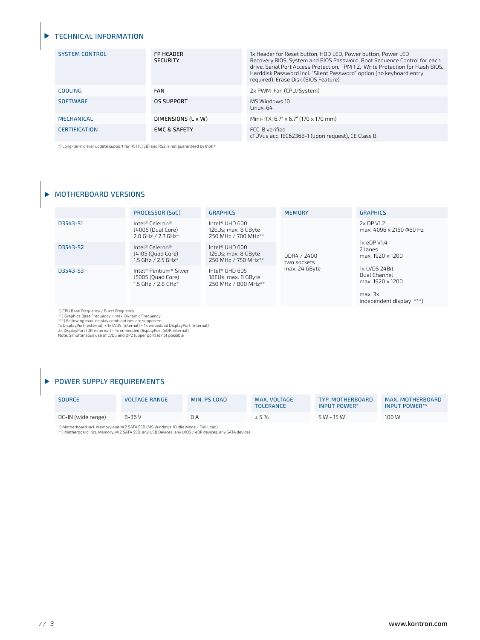#### TECHNICAL INFORMATION

| <b>SYSTEM CONTROL</b> | <b>FP HEADER</b><br><b>SECURITY</b> | 1x Header for Reset button, HDD LED, Power button, Power LED<br>Recovery BIOS, System and BIOS Password, Boot Sequence Control for each<br>drive, Serial Port Access Protection, TPM 1.2, Write Protection for Flash BIOS,<br>Harddisk Password incl. "Silent Password" option (no keyboard entry<br>required), Erase Disk (BIOS Feature) |
|-----------------------|-------------------------------------|-------------------------------------------------------------------------------------------------------------------------------------------------------------------------------------------------------------------------------------------------------------------------------------------------------------------------------------------|
| COOLING               | <b>FAN</b>                          | 2x PWM-Fan (CPU/System)                                                                                                                                                                                                                                                                                                                   |
| <b>SOFTWARE</b>       | OS SUPPORT                          | MS Windows 10<br>$Linux-64$                                                                                                                                                                                                                                                                                                               |
| <b>MECHANICAL</b>     | DIMENSIONS (L x W)                  | Mini-ITX: 6.7" x 6.7" (170 x 170 mm)                                                                                                                                                                                                                                                                                                      |
| <b>CERTIFICATION</b>  | <b>EMC &amp; SAFETY</b>             | FCC-B verified<br>cTÜVus acc. IEC62368-1 (upon request), CE Class B                                                                                                                                                                                                                                                                       |

\*) Long-term driver update support for RS1 (LTSB) and RS2 is not guaranteed by Intel®

#### $\blacktriangleright$  MOTHERBOARD VERSIONS

|          | PROCESSOR (SoC)                                                   | <b>GRAPHICS</b>                                                          | <b>MEMORY</b>              | <b>GRAPHICS</b>                                                                          |
|----------|-------------------------------------------------------------------|--------------------------------------------------------------------------|----------------------------|------------------------------------------------------------------------------------------|
| D3543-S1 | Intel® Celeron®<br>J4005 (Dual Core)<br>2.0 GHz / 2.7 GHz*        | Intel <sup>®</sup> UHD 600<br>12EUs; max. 8 GByte<br>250 MHz / 700 MHz** | DDR4 / 2400<br>two sockets | 2x DP V1.2<br>max. 4096 x 2160 @60 Hz<br>1x eDP V1.4<br>2 lanes<br>max. 1920 x 1200      |
| D3543-S2 | Intel® Celeron®<br>J4105 (Ouad Core)<br>1.5 GHz / 2.5 GHz*        | Intel® UHD $600$<br>12EUs; max. 8 GByte<br>250 MHz / 750 MHz**           |                            |                                                                                          |
| D3543-S3 | Intel® Pentium® Silver<br>J5005 (Ouad Core)<br>1.5 GHz / 2.8 GHz* | Intel® UHD 605<br>18EUs; max. 8 GByte<br>250 MHz / 800 MHz**             | max. 24 GByte              | 1x LVDS 24Bit<br>Dual Channel<br>max. 1920 x 1200<br>max. 3x<br>independent display ***) |

\*) (PU Base Frequency / Burst Frequency<br>\*\*) Graphics Base Frequency / max. Dynamic Frequency<br>\*\*\*) Following max. display combinations are supported:<br>\*\*\*) Following max. display combinations are supported:<br>2x DisplayPort (O

**POWER SUPPLY REQUIREMENTS** 

| <b>SOURCE</b>      | <b>VOLTAGE RANGE</b> | MIN. PS LOAD | MAX. VOLTAGE<br><b>TOLERANCE</b> | TYP. MOTHERBOARD<br>INPUT POWER* | MAX. MOTHERBOARD<br>INPUT POWER** |
|--------------------|----------------------|--------------|----------------------------------|----------------------------------|-----------------------------------|
| DC-IN (wide range) | $8-36V$              | 0 A          | ± 5%                             | $5 W - 15 W$                     | 100 W                             |

\*) Motherboard incl. Memory and M.2 SATA SSD (MS Windows 10 Idle Mode / Full Load) \*\*) Motherboard incl. Memory, M.2 SATA SSD, any USB Devices, any LVDS / eDP devices, any SATA devices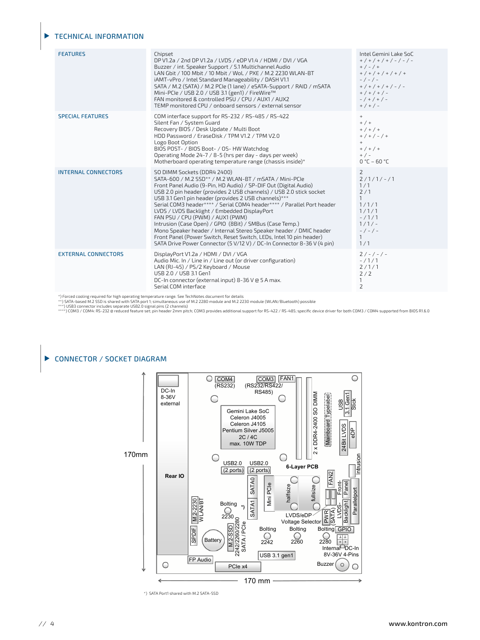#### TECHNICAL INFORMATION

| <b>FEATURES</b>                                                                                                                                                                                                                             | Chipset<br>DP V1.2a / 2nd DP V1.2a / LVDS / eDP V1.4 / HDMI / DVI / VGA<br>Buzzer / int. Speaker Support / 5.1 Multichannel Audio<br>LAN Gbit / 100 Mbit / 10 Mbit / WoL / PXE / M.2 2230 WLAN-BT<br>iAMT-vPro / Intel Standard Manageability / DASH V1.1<br>SATA / M.2 (SATA) / M.2 PCIe (1 lane) / eSATA-Support / RAID / mSATA<br>Mini-PCle / USB 2.0 / USB 3.1 (gen1) / FireWire™<br>FAN monitored & controlled PSU / CPU / AUX1 / AUX2<br>TEMP monitored CPU / onboard sensors / external sensor                                                                                                                                                                                                                                     | Intel Gemini Lake SoC<br>$+$ / + / + / + / - / - / -<br>$+$ / - / +<br>$+$ / + / + / + / + / +<br>$-/-/-$<br>$+$ / + / + / + / - / -<br>$+$ / + / + / -<br>$-$ / + / + / -<br>$+$ / + / - |  |
|---------------------------------------------------------------------------------------------------------------------------------------------------------------------------------------------------------------------------------------------|-------------------------------------------------------------------------------------------------------------------------------------------------------------------------------------------------------------------------------------------------------------------------------------------------------------------------------------------------------------------------------------------------------------------------------------------------------------------------------------------------------------------------------------------------------------------------------------------------------------------------------------------------------------------------------------------------------------------------------------------|-------------------------------------------------------------------------------------------------------------------------------------------------------------------------------------------|--|
| <b>SPECIAL FEATURES</b>                                                                                                                                                                                                                     | COM interface support for RS-232 / RS-485 / RS-422<br>Silent Fan / System Guard<br>Recovery BIOS / Desk Update / Multi Boot<br>HDD Password / EraseDisk / TPM V1.2 / TPM V2.0<br>Logo Boot Option<br>BIOS POST- / BIOS Boot- / OS- HW Watchdog<br>Operating Mode 24-7 / 8-5 (hrs per day - days per week)<br>Motherboard operating temperature range (chassis inside)*                                                                                                                                                                                                                                                                                                                                                                    | $+$<br>$+$ / $+$<br>$+$ / + / +<br>$+$ / + / - / +<br>$+$<br>$+$ / + / +<br>$+$ / $-$<br>$0 °C - 60 °C$                                                                                   |  |
| <b>INTERNAL CONNECTORS</b>                                                                                                                                                                                                                  | SO DIMM Sockets (DDR4 2400)<br>SATA-600 / M.2 SSD** / M.2 WLAN-BT / mSATA / Mini-PCle<br>Front Panel Audio (9-Pin, HD Audio) / SP-DIF Out (Digital Audio)<br>USB 2.0 pin header (provides 2 USB channels) / USB 2.0 stick socket<br>USB 3.1 Gen1 pin header (provides 2 USB channels)***<br>Serial COM3 header**** / Serial COM4 header**** / Parallel Port header<br>LVDS / LVDS Backlight / Embedded DisplayPort<br>FAN PSU / CPU (PWM) / AUX1 (PWM)<br>Intrusion (Case Open) / GPIO (8Bit) / SMBus (Case Temp.)<br>Mono Speaker header / Internal Stereo Speaker header / DMIC header<br>Front Panel (Power Switch, Reset Switch, LEDs, Intel 10 pin header)<br>SATA Drive Power Connector (5 V/12 V) / DC-In Connector 8-36 V (4 pin) | 2<br>$2/1/1/-/1$<br>1/1<br>2/1<br>$\mathbf{1}$<br>1/1/1<br>1/1/1<br>$-11/1$<br>$1/1/-$<br>$-/-/-$<br>$\mathbf{1}$<br>1/1                                                                  |  |
| <b>EXTERNAL CONNECTORS</b>                                                                                                                                                                                                                  | DisplayPort V1.2a / HDMI / DVI / VGA<br>Audio Mic. In / Line in / Line out (or driver configuration)<br>LAN (RJ-45) / PS/2 Keyboard / Mouse<br>USB 2.0 / USB 3.1 Gen1<br>DC-In connector (external input) 8-36 V @ 5 A max.<br>Serial COM interface                                                                                                                                                                                                                                                                                                                                                                                                                                                                                       | $2/-/-/ -$<br>$-/1/1$<br>2/1/1<br>2/2<br>$\mathbf{1}$<br>$\overline{2}$                                                                                                                   |  |
| *) Forced cooling required for high operating temperature range. See TechNotes document for details<br>**) SATA-based M.2 SSD is shared with SATA port 1; simultaneous use of M.2 2280 module and M.2 2230 module (WLAN/Bluetooth) possible |                                                                                                                                                                                                                                                                                                                                                                                                                                                                                                                                                                                                                                                                                                                                           |                                                                                                                                                                                           |  |

\*) Forced cooling required for high operating temperature range. See TechNotes document for details<br>\*\*) SATA-based M.2 SSD is shared with SATA port 1; simultaneous use of M.2 2280 module and M.2 2230 module (WLAN/Bluetooth

## CONNECTOR / SOCKET DIAGRAM



\*) SATA Port1 shared with M.2 SATA-SSD